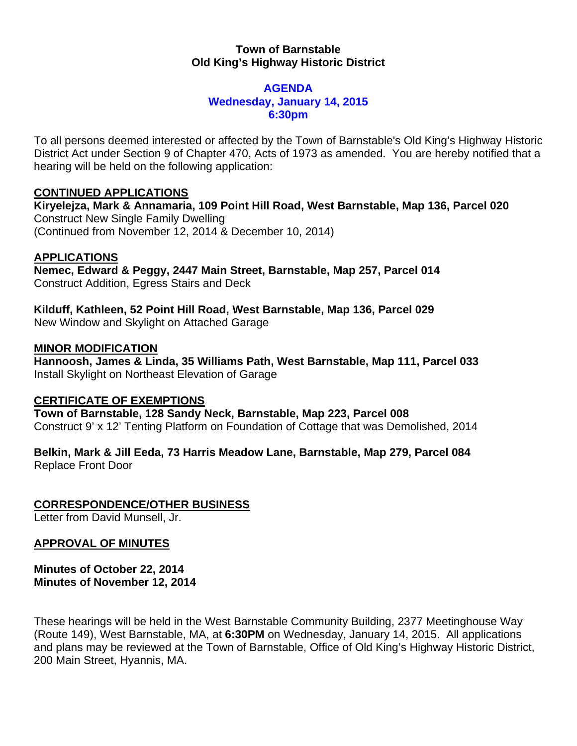### **Town of Barnstable Old King's Highway Historic District**

#### **AGENDA Wednesday, January 14, 2015 6:30pm**

To all persons deemed interested or affected by the Town of Barnstable's Old King's Highway Historic District Act under Section 9 of Chapter 470, Acts of 1973 as amended. You are hereby notified that a hearing will be held on the following application:

## **CONTINUED APPLICATIONS**

**Kiryelejza, Mark & Annamaria, 109 Point Hill Road, West Barnstable, Map 136, Parcel 020**  Construct New Single Family Dwelling (Continued from November 12, 2014 & December 10, 2014)

## **APPLICATIONS**

**Nemec, Edward & Peggy, 2447 Main Street, Barnstable, Map 257, Parcel 014**  Construct Addition, Egress Stairs and Deck

**Kilduff, Kathleen, 52 Point Hill Road, West Barnstable, Map 136, Parcel 029**  New Window and Skylight on Attached Garage

### **MINOR MODIFICATION**

**Hannoosh, James & Linda, 35 Williams Path, West Barnstable, Map 111, Parcel 033**  Install Skylight on Northeast Elevation of Garage

# **CERTIFICATE OF EXEMPTIONS**

**Town of Barnstable, 128 Sandy Neck, Barnstable, Map 223, Parcel 008**  Construct 9' x 12' Tenting Platform on Foundation of Cottage that was Demolished, 2014

#### **Belkin, Mark & Jill Eeda, 73 Harris Meadow Lane, Barnstable, Map 279, Parcel 084**  Replace Front Door

# **CORRESPONDENCE/OTHER BUSINESS**

Letter from David Munsell, Jr.

### **APPROVAL OF MINUTES**

**Minutes of October 22, 2014 Minutes of November 12, 2014** 

These hearings will be held in the West Barnstable Community Building, 2377 Meetinghouse Way (Route 149), West Barnstable, MA, at **6:30PM** on Wednesday, January 14, 2015. All applications and plans may be reviewed at the Town of Barnstable, Office of Old King's Highway Historic District, 200 Main Street, Hyannis, MA.